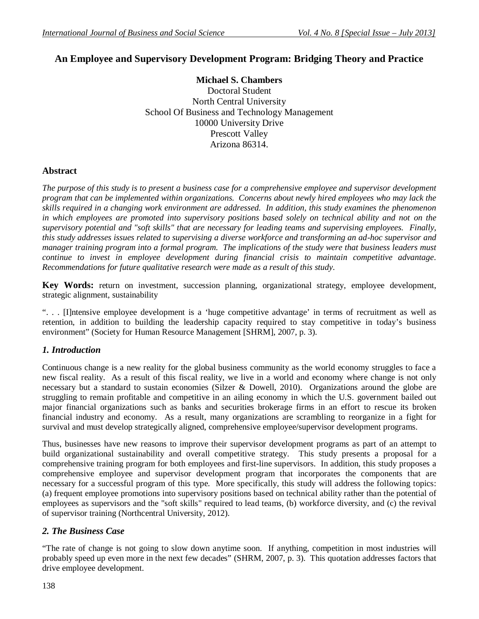# **An Employee and Supervisory Development Program: Bridging Theory and Practice**

**Michael S. Chambers** Doctoral Student North Central University School Of Business and Technology Management 10000 University Drive Prescott Valley Arizona 86314.

#### **Abstract**

*The purpose of this study is to present a business case for a comprehensive employee and supervisor development program that can be implemented within organizations. Concerns about newly hired employees who may lack the skills required in a changing work environment are addressed. In addition, this study examines the phenomenon in which employees are promoted into supervisory positions based solely on technical ability and not on the supervisory potential and "soft skills" that are necessary for leading teams and supervising employees. Finally, this study addresses issues related to supervising a diverse workforce and transforming an ad-hoc supervisor and manager training program into a formal program. The implications of the study were that business leaders must continue to invest in employee development during financial crisis to maintain competitive advantage. Recommendations for future qualitative research were made as a result of this study*.

**Key Words:** return on investment, succession planning, organizational strategy, employee development, strategic alignment, sustainability

". . . [I]ntensive employee development is a 'huge competitive advantage' in terms of recruitment as well as retention, in addition to building the leadership capacity required to stay competitive in today's business environment" (Society for Human Resource Management [SHRM], 2007, p. 3).

#### *1. Introduction*

Continuous change is a new reality for the global business community as the world economy struggles to face a new fiscal reality. As a result of this fiscal reality, we live in a world and economy where change is not only necessary but a standard to sustain economies (Silzer & Dowell, 2010). Organizations around the globe are struggling to remain profitable and competitive in an ailing economy in which the U.S. government bailed out major financial organizations such as banks and securities brokerage firms in an effort to rescue its broken financial industry and economy. As a result, many organizations are scrambling to reorganize in a fight for survival and must develop strategically aligned, comprehensive employee/supervisor development programs.

Thus, businesses have new reasons to improve their supervisor development programs as part of an attempt to build organizational sustainability and overall competitive strategy. This study presents a proposal for a comprehensive training program for both employees and first-line supervisors. In addition, this study proposes a comprehensive employee and supervisor development program that incorporates the components that are necessary for a successful program of this type. More specifically, this study will address the following topics: (a) frequent employee promotions into supervisory positions based on technical ability rather than the potential of employees as supervisors and the "soft skills" required to lead teams, (b) workforce diversity, and (c) the revival of supervisor training (Northcentral University, 2012).

#### *2. The Business Case*

"The rate of change is not going to slow down anytime soon. If anything, competition in most industries will probably speed up even more in the next few decades" (SHRM, 2007, p. 3). This quotation addresses factors that drive employee development.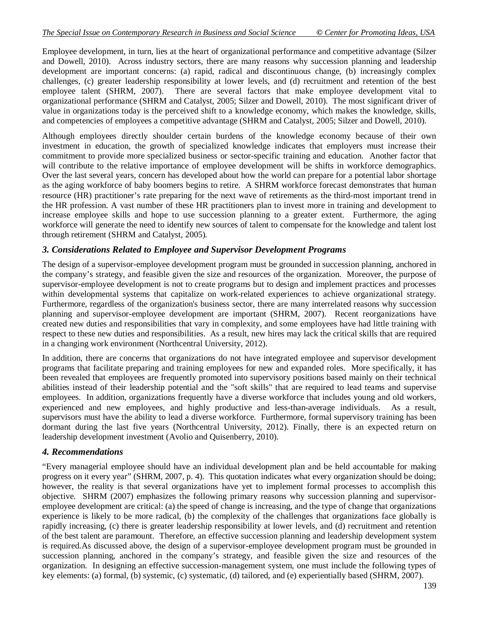Employee development, in turn, lies at the heart of organizational performance and competitive advantage (Silzer and Dowell, 2010). Across industry sectors, there are many reasons why succession planning and leadership development are important concerns: (a) rapid, radical and discontinuous change, (b) increasingly complex challenges, (c) greater leadership responsibility at lower levels, and (d) recruitment and retention of the best employee talent (SHRM, 2007). There are several factors that make employee development vital to organizational performance (SHRM and Catalyst, 2005; Silzer and Dowell, 2010). The most significant driver of value in organizations today is the perceived shift to a knowledge economy, which makes the knowledge, skills, and competencies of employees a competitive advantage (SHRM and Catalyst, 2005; Silzer and Dowell, 2010).

Although employees directly shoulder certain burdens of the knowledge economy because of their own investment in education, the growth of specialized knowledge indicates that employers must increase their commitment to provide more specialized business or sector-specific training and education. Another factor that will contribute to the relative importance of employee development will be shifts in workforce demographics. Over the last several years, concern has developed about how the world can prepare for a potential labor shortage as the aging workforce of baby boomers begins to retire. A SHRM workforce forecast demonstrates that human resource (HR) practitioner's rate preparing for the next wave of retirements as the third-most important trend in the HR profession. A vast number of these HR practitioners plan to invest more in training and development to increase employee skills and hope to use succession planning to a greater extent. Furthermore, the aging workforce will generate the need to identify new sources of talent to compensate for the knowledge and talent lost through retirement (SHRM and Catalyst, 2005).

## *3. Considerations Related to Employee and Supervisor Development Programs*

The design of a supervisor-employee development program must be grounded in succession planning, anchored in the company's strategy, and feasible given the size and resources of the organization. Moreover, the purpose of supervisor-employee development is not to create programs but to design and implement practices and processes within developmental systems that capitalize on work-related experiences to achieve organizational strategy. Furthermore, regardless of the organization's business sector, there are many interrelated reasons why succession planning and supervisor-employee development are important (SHRM, 2007). Recent reorganizations have created new duties and responsibilities that vary in complexity, and some employees have had little training with respect to these new duties and responsibilities. As a result, new hires may lack the critical skills that are required in a changing work environment (Northcentral University, 2012).

In addition, there are concerns that organizations do not have integrated employee and supervisor development programs that facilitate preparing and training employees for new and expanded roles. More specifically, it has been revealed that employees are frequently promoted into supervisory positions based mainly on their technical abilities instead of their leadership potential and the "soft skills" that are required to lead teams and supervise employees. In addition, organizations frequently have a diverse workforce that includes young and old workers, experienced and new employees, and highly productive and less-than-average individuals. As a result, supervisors must have the ability to lead a diverse workforce. Furthermore, formal supervisory training has been dormant during the last five years (Northcentral University, 2012). Finally, there is an expected return on leadership development investment (Avolio and Quisenberry, 2010).

## *4. Recommendations*

"Every managerial employee should have an individual development plan and be held accountable for making progress on it every year" (SHRM, 2007, p. 4). This quotation indicates what every organization should be doing; however, the reality is that several organizations have yet to implement formal processes to accomplish this objective. SHRM (2007) emphasizes the following primary reasons why succession planning and supervisoremployee development are critical: (a) the speed of change is increasing, and the type of change that organizations experience is likely to be more radical, (b) the complexity of the challenges that organizations face globally is rapidly increasing, (c) there is greater leadership responsibility at lower levels, and (d) recruitment and retention of the best talent are paramount. Therefore, an effective succession planning and leadership development system is required.As discussed above, the design of a supervisor-employee development program must be grounded in succession planning, anchored in the company's strategy, and feasible given the size and resources of the organization. In designing an effective succession-management system, one must include the following types of key elements: (a) formal, (b) systemic, (c) systematic, (d) tailored, and (e) experientially based (SHRM, 2007).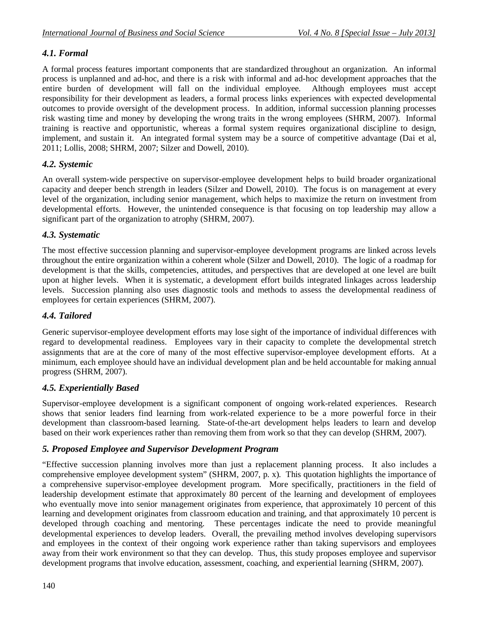# *4.1. Formal*

A formal process features important components that are standardized throughout an organization. An informal process is unplanned and ad-hoc, and there is a risk with informal and ad-hoc development approaches that the entire burden of development will fall on the individual employee. Although employees must accept responsibility for their development as leaders, a formal process links experiences with expected developmental outcomes to provide oversight of the development process. In addition, informal succession planning processes risk wasting time and money by developing the wrong traits in the wrong employees (SHRM, 2007). Informal training is reactive and opportunistic, whereas a formal system requires organizational discipline to design, implement, and sustain it. An integrated formal system may be a source of competitive advantage (Dai et al, 2011; Lollis, 2008; SHRM, 2007; Silzer and Dowell, 2010).

# *4.2. Systemic*

An overall system-wide perspective on supervisor-employee development helps to build broader organizational capacity and deeper bench strength in leaders (Silzer and Dowell, 2010). The focus is on management at every level of the organization, including senior management, which helps to maximize the return on investment from developmental efforts. However, the unintended consequence is that focusing on top leadership may allow a significant part of the organization to atrophy (SHRM, 2007).

## *4.3. Systematic*

The most effective succession planning and supervisor-employee development programs are linked across levels throughout the entire organization within a coherent whole (Silzer and Dowell, 2010). The logic of a roadmap for development is that the skills, competencies, attitudes, and perspectives that are developed at one level are built upon at higher levels. When it is systematic, a development effort builds integrated linkages across leadership levels. Succession planning also uses diagnostic tools and methods to assess the developmental readiness of employees for certain experiences (SHRM, 2007).

# *4.4. Tailored*

Generic supervisor-employee development efforts may lose sight of the importance of individual differences with regard to developmental readiness. Employees vary in their capacity to complete the developmental stretch assignments that are at the core of many of the most effective supervisor-employee development efforts. At a minimum, each employee should have an individual development plan and be held accountable for making annual progress (SHRM, 2007).

# *4.5. Experientially Based*

Supervisor-employee development is a significant component of ongoing work-related experiences. Research shows that senior leaders find learning from work-related experience to be a more powerful force in their development than classroom-based learning. State-of-the-art development helps leaders to learn and develop based on their work experiences rather than removing them from work so that they can develop (SHRM, 2007).

## *5. Proposed Employee and Supervisor Development Program*

"Effective succession planning involves more than just a replacement planning process. It also includes a comprehensive employee development system" (SHRM, 2007, p. x). This quotation highlights the importance of a comprehensive supervisor-employee development program. More specifically, practitioners in the field of leadership development estimate that approximately 80 percent of the learning and development of employees who eventually move into senior management originates from experience, that approximately 10 percent of this learning and development originates from classroom education and training, and that approximately 10 percent is developed through coaching and mentoring. These percentages indicate the need to provide meaningful developmental experiences to develop leaders. Overall, the prevailing method involves developing supervisors and employees in the context of their ongoing work experience rather than taking supervisors and employees away from their work environment so that they can develop. Thus, this study proposes employee and supervisor development programs that involve education, assessment, coaching, and experiential learning (SHRM, 2007).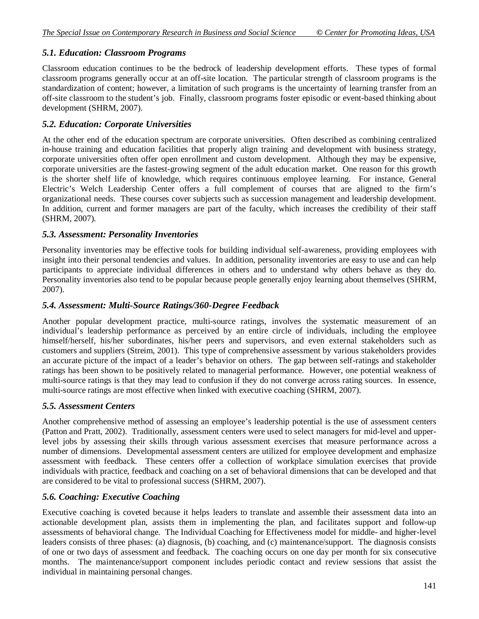## *5.1. Education: Classroom Programs*

Classroom education continues to be the bedrock of leadership development efforts. These types of formal classroom programs generally occur at an off-site location. The particular strength of classroom programs is the standardization of content; however, a limitation of such programs is the uncertainty of learning transfer from an off-site classroom to the student's job. Finally, classroom programs foster episodic or event-based thinking about development (SHRM, 2007).

## *5.2. Education: Corporate Universities*

At the other end of the education spectrum are corporate universities. Often described as combining centralized in-house training and education facilities that properly align training and development with business strategy, corporate universities often offer open enrollment and custom development. Although they may be expensive, corporate universities are the fastest-growing segment of the adult education market. One reason for this growth is the shorter shelf life of knowledge, which requires continuous employee learning. For instance, General Electric's Welch Leadership Center offers a full complement of courses that are aligned to the firm's organizational needs. These courses cover subjects such as succession management and leadership development. In addition, current and former managers are part of the faculty, which increases the credibility of their staff (SHRM, 2007).

### *5.3. Assessment: Personality Inventories*

Personality inventories may be effective tools for building individual self-awareness, providing employees with insight into their personal tendencies and values. In addition, personality inventories are easy to use and can help participants to appreciate individual differences in others and to understand why others behave as they do. Personality inventories also tend to be popular because people generally enjoy learning about themselves (SHRM, 2007).

### *5.4. Assessment: Multi-Source Ratings/360-Degree Feedback*

Another popular development practice, multi-source ratings, involves the systematic measurement of an individual's leadership performance as perceived by an entire circle of individuals, including the employee himself/herself, his/her subordinates, his/her peers and supervisors, and even external stakeholders such as customers and suppliers (Streim, 2001). This type of comprehensive assessment by various stakeholders provides an accurate picture of the impact of a leader's behavior on others. The gap between self-ratings and stakeholder ratings has been shown to be positively related to managerial performance. However, one potential weakness of multi-source ratings is that they may lead to confusion if they do not converge across rating sources. In essence, multi-source ratings are most effective when linked with executive coaching (SHRM, 2007).

#### *5.5. Assessment Centers*

Another comprehensive method of assessing an employee's leadership potential is the use of assessment centers (Patton and Pratt, 2002). Traditionally, assessment centers were used to select managers for mid-level and upperlevel jobs by assessing their skills through various assessment exercises that measure performance across a number of dimensions. Developmental assessment centers are utilized for employee development and emphasize assessment with feedback. These centers offer a collection of workplace simulation exercises that provide individuals with practice, feedback and coaching on a set of behavioral dimensions that can be developed and that are considered to be vital to professional success (SHRM, 2007).

## *5.6. Coaching: Executive Coaching*

Executive coaching is coveted because it helps leaders to translate and assemble their assessment data into an actionable development plan, assists them in implementing the plan, and facilitates support and follow-up assessments of behavioral change. The Individual Coaching for Effectiveness model for middle- and higher-level leaders consists of three phases: (a) diagnosis, (b) coaching, and (c) maintenance/support. The diagnosis consists of one or two days of assessment and feedback. The coaching occurs on one day per month for six consecutive months. The maintenance/support component includes periodic contact and review sessions that assist the individual in maintaining personal changes.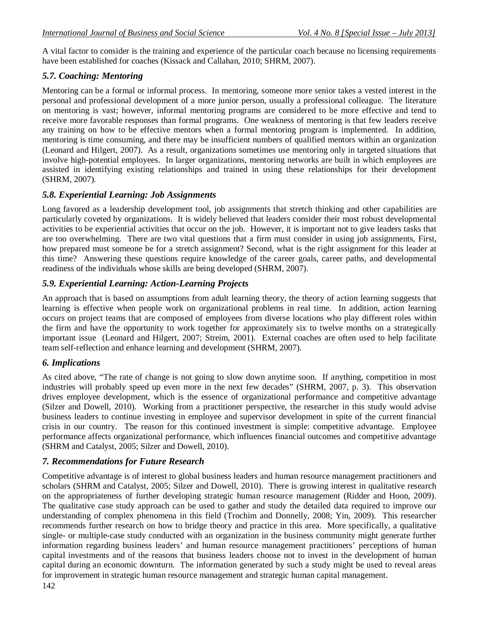A vital factor to consider is the training and experience of the particular coach because no licensing requirements have been established for coaches (Kissack and Callahan, 2010; SHRM, 2007).

### *5.7. Coaching: Mentoring*

Mentoring can be a formal or informal process. In mentoring, someone more senior takes a vested interest in the personal and professional development of a more junior person, usually a professional colleague. The literature on mentoring is vast; however, informal mentoring programs are considered to be more effective and tend to receive more favorable responses than formal programs. One weakness of mentoring is that few leaders receive any training on how to be effective mentors when a formal mentoring program is implemented. In addition, mentoring is time consuming, and there may be insufficient numbers of qualified mentors within an organization (Leonard and Hilgert, 2007). As a result, organizations sometimes use mentoring only in targeted situations that involve high-potential employees. In larger organizations, mentoring networks are built in which employees are assisted in identifying existing relationships and trained in using these relationships for their development (SHRM, 2007).

### *5.8. Experiential Learning: Job Assignments*

Long favored as a leadership development tool, job assignments that stretch thinking and other capabilities are particularly coveted by organizations. It is widely believed that leaders consider their most robust developmental activities to be experiential activities that occur on the job. However, it is important not to give leaders tasks that are too overwhelming. There are two vital questions that a firm must consider in using job assignments, First, how prepared must someone be for a stretch assignment? Second, what is the right assignment for this leader at this time? Answering these questions require knowledge of the career goals, career paths, and developmental readiness of the individuals whose skills are being developed (SHRM, 2007).

### *5.9. Experiential Learning: Action-Learning Projects*

An approach that is based on assumptions from adult learning theory, the theory of action learning suggests that learning is effective when people work on organizational problems in real time. In addition, action learning occurs on project teams that are composed of employees from diverse locations who play different roles within the firm and have the opportunity to work together for approximately six to twelve months on a strategically important issue (Leonard and Hilgert, 2007; Streim, 2001). External coaches are often used to help facilitate team self-reflection and enhance learning and development (SHRM, 2007).

#### *6. Implications*

As cited above, "The rate of change is not going to slow down anytime soon. If anything, competition in most industries will probably speed up even more in the next few decades" (SHRM, 2007, p. 3). This observation drives employee development, which is the essence of organizational performance and competitive advantage (Silzer and Dowell, 2010). Working from a practitioner perspective, the researcher in this study would advise business leaders to continue investing in employee and supervisor development in spite of the current financial crisis in our country. The reason for this continued investment is simple: competitive advantage. Employee performance affects organizational performance, which influences financial outcomes and competitive advantage (SHRM and Catalyst, 2005; Silzer and Dowell, 2010).

#### *7. Recommendations for Future Research*

Competitive advantage is of interest to global business leaders and human resource management practitioners and scholars (SHRM and Catalyst, 2005; Silzer and Dowell, 2010). There is growing interest in qualitative research on the appropriateness of further developing strategic human resource management (Ridder and Hoon, 2009). The qualitative case study approach can be used to gather and study the detailed data required to improve our understanding of complex phenomena in this field (Trochim and Donnelly, 2008; Yin, 2009). This researcher recommends further research on how to bridge theory and practice in this area. More specifically, a qualitative single- or multiple-case study conducted with an organization in the business community might generate further information regarding business leaders' and human resource management practitioners' perceptions of human capital investments and of the reasons that business leaders choose not to invest in the development of human capital during an economic downturn. The information generated by such a study might be used to reveal areas for improvement in strategic human resource management and strategic human capital management.